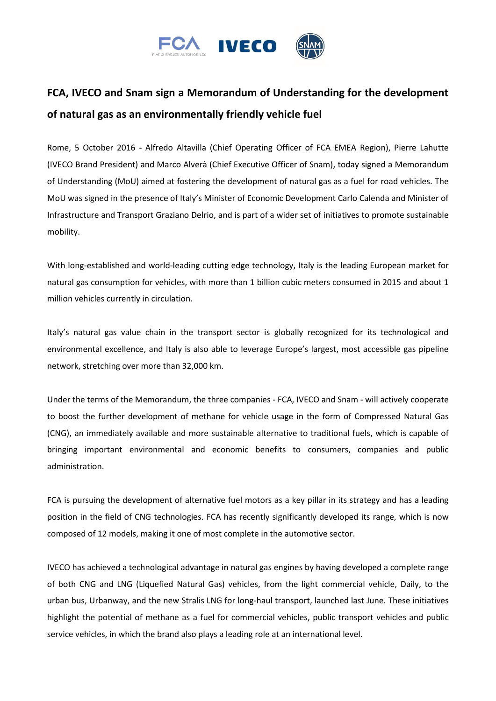

## **FCA, IVECO and Snam sign a Memorandum of Understanding for the development of natural gas as an environmentally friendly vehicle fuel**

Rome, 5 October 2016 - Alfredo Altavilla (Chief Operating Officer of FCA EMEA Region), Pierre Lahutte (IVECO Brand President) and Marco Alverà (Chief Executive Officer of Snam), today signed a Memorandum of Understanding (MoU) aimed at fostering the development of natural gas as a fuel for road vehicles. The MoU was signed in the presence of Italy's Minister of Economic Development Carlo Calenda and Minister of Infrastructure and Transport Graziano Delrio, and is part of a wider set of initiatives to promote sustainable mobility.

With long-established and world-leading cutting edge technology, Italy is the leading European market for natural gas consumption for vehicles, with more than 1 billion cubic meters consumed in 2015 and about 1 million vehicles currently in circulation.

Italy's natural gas value chain in the transport sector is globally recognized for its technological and environmental excellence, and Italy is also able to leverage Europe's largest, most accessible gas pipeline network, stretching over more than 32,000 km.

Under the terms of the Memorandum, the three companies - FCA, IVECO and Snam - will actively cooperate to boost the further development of methane for vehicle usage in the form of Compressed Natural Gas (CNG), an immediately available and more sustainable alternative to traditional fuels, which is capable of bringing important environmental and economic benefits to consumers, companies and public administration.

FCA is pursuing the development of alternative fuel motors as a key pillar in its strategy and has a leading position in the field of CNG technologies. FCA has recently significantly developed its range, which is now composed of 12 models, making it one of most complete in the automotive sector.

IVECO has achieved a technological advantage in natural gas engines by having developed a complete range of both CNG and LNG (Liquefied Natural Gas) vehicles, from the light commercial vehicle, Daily, to the urban bus, Urbanway, and the new Stralis LNG for long-haul transport, launched last June. These initiatives highlight the potential of methane as a fuel for commercial vehicles, public transport vehicles and public service vehicles, in which the brand also plays a leading role at an international level.